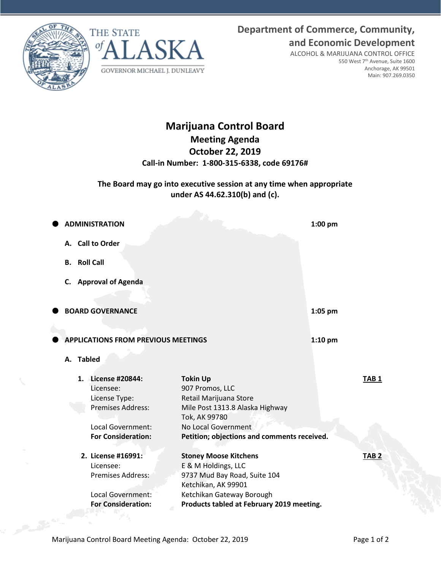**Department of Commerce, Community, and Economic Development**





ALCOHOL & MARIJUANA CONTROL OFFICE 550 West 7th Avenue, Suite 1600 Anchorage, AK 99501 Main: 907.269.0350

# **Marijuana Control Board Meeting Agenda October 22, 2019 Call-in Number: 1-800-315-6338, code 69176#**

## **The Board may go into executive session at any time when appropriate under AS 44.62.310(b) and (c).**

|                                                                                                                                                                                                                                                                                                                                                  | $1:00$ pm                                                                                                                                                                                                                                                                                                                                                                                                                    |
|--------------------------------------------------------------------------------------------------------------------------------------------------------------------------------------------------------------------------------------------------------------------------------------------------------------------------------------------------|------------------------------------------------------------------------------------------------------------------------------------------------------------------------------------------------------------------------------------------------------------------------------------------------------------------------------------------------------------------------------------------------------------------------------|
|                                                                                                                                                                                                                                                                                                                                                  |                                                                                                                                                                                                                                                                                                                                                                                                                              |
|                                                                                                                                                                                                                                                                                                                                                  |                                                                                                                                                                                                                                                                                                                                                                                                                              |
|                                                                                                                                                                                                                                                                                                                                                  |                                                                                                                                                                                                                                                                                                                                                                                                                              |
|                                                                                                                                                                                                                                                                                                                                                  |                                                                                                                                                                                                                                                                                                                                                                                                                              |
|                                                                                                                                                                                                                                                                                                                                                  | 1:05 pm                                                                                                                                                                                                                                                                                                                                                                                                                      |
|                                                                                                                                                                                                                                                                                                                                                  |                                                                                                                                                                                                                                                                                                                                                                                                                              |
|                                                                                                                                                                                                                                                                                                                                                  | $1:10$ pm                                                                                                                                                                                                                                                                                                                                                                                                                    |
|                                                                                                                                                                                                                                                                                                                                                  |                                                                                                                                                                                                                                                                                                                                                                                                                              |
|                                                                                                                                                                                                                                                                                                                                                  | TAB <sub>1</sub>                                                                                                                                                                                                                                                                                                                                                                                                             |
|                                                                                                                                                                                                                                                                                                                                                  |                                                                                                                                                                                                                                                                                                                                                                                                                              |
|                                                                                                                                                                                                                                                                                                                                                  |                                                                                                                                                                                                                                                                                                                                                                                                                              |
|                                                                                                                                                                                                                                                                                                                                                  |                                                                                                                                                                                                                                                                                                                                                                                                                              |
|                                                                                                                                                                                                                                                                                                                                                  | TAB <sub>2</sub>                                                                                                                                                                                                                                                                                                                                                                                                             |
|                                                                                                                                                                                                                                                                                                                                                  |                                                                                                                                                                                                                                                                                                                                                                                                                              |
|                                                                                                                                                                                                                                                                                                                                                  |                                                                                                                                                                                                                                                                                                                                                                                                                              |
| <b>ADMINISTRATION</b><br>A. Call to Order<br>C. Approval of Agenda<br><b>BOARD GOVERNANCE</b><br>1. License #20844:<br>Licensee:<br>License Type:<br><b>Premises Address:</b><br>Local Government:<br><b>For Consideration:</b><br>2. License #16991:<br>Licensee:<br><b>Premises Address:</b><br>Local Government:<br><b>For Consideration:</b> | <b>APPLICATIONS FROM PREVIOUS MEETINGS</b><br><b>Tokin Up</b><br>907 Promos, LLC<br>Retail Marijuana Store<br>Mile Post 1313.8 Alaska Highway<br>Tok, AK 99780<br>No Local Government<br>Petition; objections and comments received.<br><b>Stoney Moose Kitchens</b><br>E & M Holdings, LLC<br>9737 Mud Bay Road, Suite 104<br>Ketchikan, AK 99901<br>Ketchikan Gateway Borough<br>Products tabled at February 2019 meeting. |